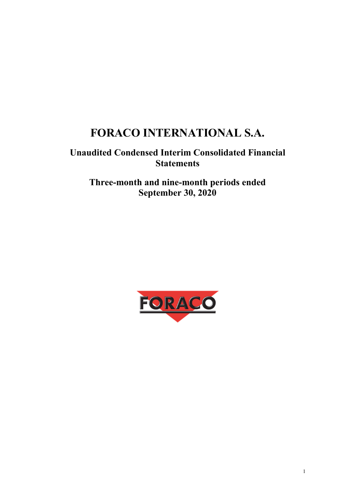# **FORACO INTERNATIONAL S.A.**

## **Unaudited Condensed Interim Consolidated Financial Statements**

## **Three-month and nine-month periods ended September 30, 2020**

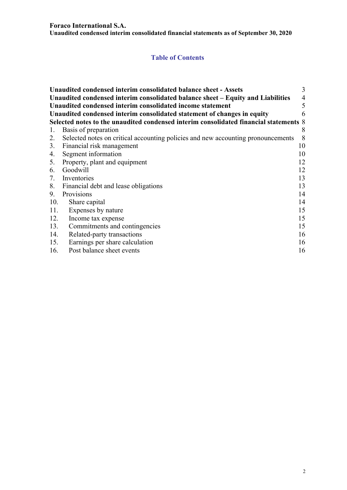#### **Foraco International S.A.**

**Unaudited condensed interim consolidated financial statements as of September 30, 2020** 

## **Table of Contents**

|     | Unaudited condensed interim consolidated balance sheet - Assets                       | 3              |  |  |  |  |
|-----|---------------------------------------------------------------------------------------|----------------|--|--|--|--|
|     | Unaudited condensed interim consolidated balance sheet – Equity and Liabilities       | $\overline{4}$ |  |  |  |  |
|     | Unaudited condensed interim consolidated income statement                             | 5              |  |  |  |  |
|     | Unaudited condensed interim consolidated statement of changes in equity<br>6          |                |  |  |  |  |
|     | Selected notes to the unaudited condensed interim consolidated financial statements 8 |                |  |  |  |  |
| 1.  | Basis of preparation                                                                  | 8              |  |  |  |  |
| 2.  | Selected notes on critical accounting policies and new accounting pronouncements      | 8              |  |  |  |  |
|     | 3. Financial risk management                                                          | 10             |  |  |  |  |
| 4.  | Segment information                                                                   | 10             |  |  |  |  |
|     | 5. Property, plant and equipment                                                      | 12             |  |  |  |  |
| 6.  | Goodwill                                                                              | 12             |  |  |  |  |
| 7.  | Inventories                                                                           | 13             |  |  |  |  |
|     | 8. Financial debt and lease obligations                                               | 13             |  |  |  |  |
| 9.  | Provisions                                                                            | 14             |  |  |  |  |
| 10. | Share capital                                                                         | 14             |  |  |  |  |
| 11. | Expenses by nature                                                                    | 15             |  |  |  |  |
| 12. | Income tax expense                                                                    | 15             |  |  |  |  |
| 13. | Commitments and contingencies                                                         | 15             |  |  |  |  |
| 14. | Related-party transactions                                                            | 16             |  |  |  |  |
| 15. | Earnings per share calculation                                                        | 16             |  |  |  |  |
| 16. | Post balance sheet events                                                             | 16             |  |  |  |  |
|     |                                                                                       |                |  |  |  |  |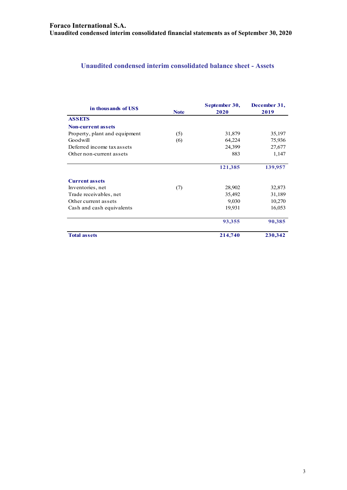## **Unaudited condensed interim consolidated balance sheet - Assets**

| in thousands of USS           | <b>Note</b> | September 30,<br>2020 | December 31,<br>2019 |
|-------------------------------|-------------|-----------------------|----------------------|
| <b>ASSETS</b>                 |             |                       |                      |
| <b>Non-current assets</b>     |             |                       |                      |
| Property, plant and equipment | (5)         | 31,879                | 35,197               |
| Goodwill                      | (6)         | 64,224                | 75,936               |
| Deferred income tax assets    |             | 24,399                | 27,677               |
| Other non-current assets      |             | 883                   | 1,147                |
|                               |             | 121,385               | 139,957              |
| <b>Current assets</b>         |             |                       |                      |
| Inventories, net              | (7)         | 28,902                | 32,873               |
| Trade receivables, net        |             | 35,492                | 31,189               |
| Other current assets          |             | 9,030                 | 10,270               |
| Cash and cash equivalents     |             | 19,931                | 16,053               |
|                               |             | 93,355                | 90,385               |
| <b>Total assets</b>           |             | 214,740               | 230,342              |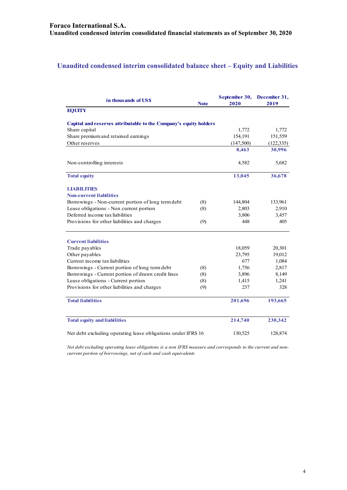## **Unaudited condensed interim consolidated balance sheet – Equity and Liabilities**

| in thousands of US\$                                              | <b>Note</b> | September 30,<br>2020 | December 31,<br>2019 |
|-------------------------------------------------------------------|-------------|-----------------------|----------------------|
| <b>EQUITY</b>                                                     |             |                       |                      |
| Capital and reserves attributable to the Company's equity holders |             |                       |                      |
| Share capital                                                     |             | 1,772                 | 1,772                |
| Share premium and retained earnings                               |             | 154,191               | 151,559              |
| Other reserves                                                    |             | (147,500)             | (122, 335)           |
|                                                                   |             | 8,463                 | 30,996               |
| Non-controlling interests                                         |             | 4,582                 | 5,682                |
| <b>Total equity</b>                                               |             | 13,045                | 36,678               |
| <b>LIABILITIES</b>                                                |             |                       |                      |
| <b>Non-current liabilities</b>                                    |             |                       |                      |
| Borrowings - Non-current portion of long term debt                | (8)         | 144,804               | 133,961              |
| Lease obligations - Non current portion                           | (8)         | 2,803                 | 2,910                |
| Deferred income tax liabilities                                   |             | 3,806                 | 3,457                |
| Provisions for other liabilities and charges                      | (9)         | 448                   | 405                  |
| <b>Current liabilities</b>                                        |             |                       |                      |
| Trade payables                                                    |             | 18,059                | 20,301               |
| Other payables                                                    |             | 23,795                | 19,012               |
| Current income tax liabilities                                    |             | 677                   | 1,084                |
| Borrowings - Current portion of long term debt                    | (8)         | 1,756                 | 2,817                |
| Borrowings - Current portion of drawn credit lines                | (8)         | 3,896                 | 8,149                |
| Lease obligations - Current portion                               | (8)         | 1,415                 | 1,241                |
| Provisions for other liabilities and charges                      | (9)         | 237                   | 328                  |
| <b>Total liabilities</b>                                          |             | 201,696               | 193,665              |
| <b>Total equity and liabilities</b>                               |             | 214,740               | 230,342              |
| Net debt excluding operating lease obligations under IFRS 16      |             | 130,525               | 128,874              |

*Net debt excluding operating lease obligations is a non IFRS measure and corresponds to the current and noncurrent portion of borrowings, net of cash and cash equivalents*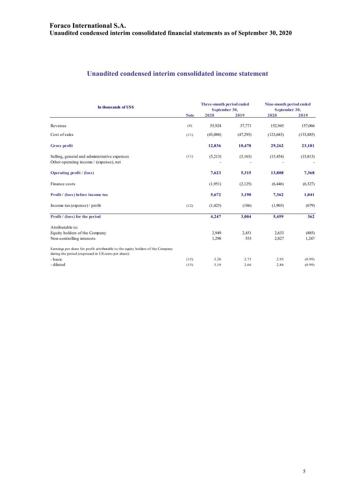## **Unaudited condensed interim consolidated income statement**

| In thousands of US\$                                                                                                                    |             | Three-month period ended<br>September 30, |          | Nine-month period ended<br>September 30, |            |
|-----------------------------------------------------------------------------------------------------------------------------------------|-------------|-------------------------------------------|----------|------------------------------------------|------------|
|                                                                                                                                         | <b>Note</b> | 2020                                      | 2019     | 2020                                     | 2019       |
| Revenue                                                                                                                                 | (4)         | 55,924                                    | 57,771   | 152,945                                  | 157,066    |
| Cost of sales                                                                                                                           | (11)        | (43,088)                                  | (47,293) | (123, 683)                               | (133, 885) |
| Gross profit                                                                                                                            |             | 12,836                                    | 10,478   | 29,262                                   | 23,181     |
| Selling, general and administrative expenses<br>Other operating income / (expense), net                                                 | (11)        | (5,213)                                   | (5,163)  | (15, 454)                                | (15, 813)  |
| <b>Operating profit</b> / (loss)                                                                                                        |             | 7,623                                     | 5,315    | 13,808                                   | 7,368      |
| Finance costs                                                                                                                           |             | (1,951)                                   | (2,125)  | (6, 446)                                 | (6,327)    |
| Profit / (loss) before income tax                                                                                                       |             | 5,672                                     | 3,190    | 7,362                                    | 1,041      |
| Income $\text{tax}$ (expense) / profit                                                                                                  | (12)        | (1,425)                                   | (186)    | (1,903)                                  | (679)      |
| Profit / (loss) for the period                                                                                                          |             | 4,247                                     | 3,004    | 5,459                                    | 362        |
| Attributable to:                                                                                                                        |             |                                           |          |                                          |            |
| Equity holders of the Company                                                                                                           |             | 2,949                                     | 2,451    | 2,633                                    | (885)      |
| Non-controlling interests                                                                                                               |             | 1,298                                     | 553      | 2,827                                    | 1,247      |
| Earnings per share for profit attributable to the equity holders of the Company<br>during the period (expressed in US cents per share): |             |                                           |          |                                          |            |
| - basic                                                                                                                                 | (15)        | 3.28                                      | 2.73     | 2.93                                     | (0.99)     |
| - diluted                                                                                                                               | (15)        | 3.19                                      | 2.66     | 2.86                                     | (0.99)     |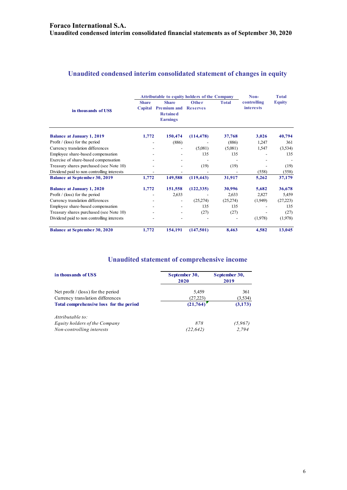## **Unaudited condensed interim consolidated statement of changes in equity**

|                                            |                         | <b>Attributable to equity holders of the Company</b>                     | Non-                            | <b>Total</b> |                                 |               |
|--------------------------------------------|-------------------------|--------------------------------------------------------------------------|---------------------------------|--------------|---------------------------------|---------------|
| in thousands of USS                        | <b>Share</b><br>Capital | <b>Share</b><br><b>Premium and</b><br><b>Retained</b><br><b>Earnings</b> | <b>Other</b><br><b>Reserves</b> | <b>Total</b> | controlling<br><i>interests</i> | <b>Equity</b> |
| <b>Balance at January 1, 2019</b>          | 1,772                   | 150,474                                                                  | (114, 478)                      | 37,768       | 3,026                           | 40,794        |
| Profit $/$ (loss) for the period           |                         | (886)                                                                    |                                 | (886)        | 1,247                           | 361           |
| Currency translation differences           |                         |                                                                          | (5,081)                         | (5,081)      | 1,547                           | (3,534)       |
| Employee share-based compensation          |                         |                                                                          | 135                             | 135          |                                 | 135           |
| Exercise of share-based compensation       |                         |                                                                          |                                 |              |                                 |               |
| Treasury shares purchased (see Note 10)    |                         |                                                                          | (19)                            | (19)         |                                 | (19)          |
| Dividend paid to non controlling interests |                         |                                                                          |                                 |              | (558)                           | (558)         |
| <b>Balance at September 30, 2019</b>       | 1,772                   | 149,588                                                                  | (119, 443)                      | 31,917       | 5,262                           | 37,179        |
| <b>Balance at January 1, 2020</b>          | 1,772                   | 151,558                                                                  | (122, 335)                      | 30,996       | 5,682                           | 36,678        |
| Profit $/$ (loss) for the period           |                         | 2,633                                                                    |                                 | 2,633        | 2,827                           | 5,459         |
| Currency translation differences           |                         |                                                                          | (25,274)                        | (25,274)     | (1,949)                         | (27,223)      |
| Employee share-based compensation          |                         |                                                                          | 135                             | 135          |                                 | 135           |
| Treasury shares purchased (see Note 10)    |                         |                                                                          | (27)                            | (27)         |                                 | (27)          |
| Dividend paid to non controlling interests |                         |                                                                          |                                 |              | (1,978)                         | (1,978)       |
| <b>Balance at September 30, 2020</b>       | 1,772                   | 154,191                                                                  | (147,501)                       | 8,463        | 4,582                           | 13,045        |

## **Unaudited statement of comprehensive income**

| in thousands of US\$                    | September 30,<br>2020 | September 30,<br>2019 |
|-----------------------------------------|-----------------------|-----------------------|
| Net profit $/$ (loss) for the period    | 5,459                 | 361                   |
| Currency translation differences        | (27, 223)             | (3,534)               |
| Total comprehensive loss for the period | (21, 764)             | (3,173)               |
| Attributable to:                        |                       |                       |
| Equity holders of the Company           | 878                   | (5,967)               |
| Non-controlling interests               | (22,642)              | 2,794                 |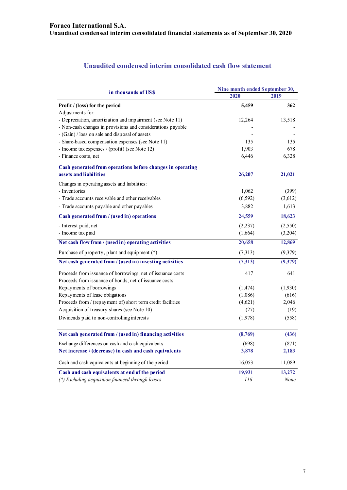## **Unaudited condensed interim consolidated cash flow statement**

| in thousands of US\$                                        | Nine month ended September 30, |         |  |
|-------------------------------------------------------------|--------------------------------|---------|--|
|                                                             | 2020                           | 2019    |  |
| Profit / (loss) for the period                              | 5,459                          | 362     |  |
| Adjustments for:                                            |                                |         |  |
| - Depreciation, amortization and impairment (see Note 11)   | 12,264                         | 13,518  |  |
| - Non-cash changes in provisions and considerations payable |                                |         |  |
| - (Gain) / loss on sale and disposal of assets              |                                |         |  |
| - Share-based compensation expenses (see Note 11)           | 135                            | 135     |  |
| - Income tax expenses / (profit) (see Note 12)              | 1,903                          | 678     |  |
| - Finance costs, net                                        | 6,446                          | 6,328   |  |
| Cash generated from operations before changes in operating  |                                |         |  |
| assets and liabilities                                      | 26,207                         | 21,021  |  |
| Changes in operating assets and liabilities:                |                                |         |  |
| - Inventories                                               | 1,062                          | (399)   |  |
| - Trade accounts receivable and other receivables           | (6, 592)                       | (3,612) |  |
| - Trade accounts payable and other payables                 | 3,882                          | 1,613   |  |
| Cash generated from / (used in) operations                  | 24,559                         | 18,623  |  |
| - Interest paid, net                                        | (2, 237)                       | (2,550) |  |
| - Income tax paid                                           | (1,664)                        | (3,204) |  |
| Net cash flow from / (used in) operating activities         | 20,658                         | 12,869  |  |
| Purchase of property, plant and equipment (*)               | (7,313)                        | (9,379) |  |
| Net cash generated from / (used in) investing activities    | (7,313)                        | (9,379) |  |
| Proceeds from issuance of borrowings, net of issuance costs | 417                            | 641     |  |
| Proceeds from issuance of bonds, net of issuance costs      |                                |         |  |
| Repayments of borrowings                                    | (1, 474)                       | (1,930) |  |
| Repayments of lease obligations                             | (1,086)                        | (616)   |  |
| Proceeds from / (repayment of) short term credit facilities | (4,621)                        | 2,046   |  |
| Acquisition of treasury shares (see Note 10)                | (27)                           | (19)    |  |
| Dividends paid to non-controlling interests                 | (1,978)                        | (558)   |  |
| Net cash generated from / (used in) financing activities    | (8,769)                        | (436)   |  |
|                                                             |                                |         |  |
| Exchange differences on cash and cash equivalents           | (698)                          | (871)   |  |
| Net increase / (decrease) in cash and cash equivalents      | 3,878                          | 2,183   |  |
| Cash and cash equivalents at beginning of the period        | 16,053                         | 11,089  |  |
| Cash and cash equivalents at end of the period              | 19,931                         | 13,272  |  |
| (*) Excluding acquisition financed through leases           | 116                            | None    |  |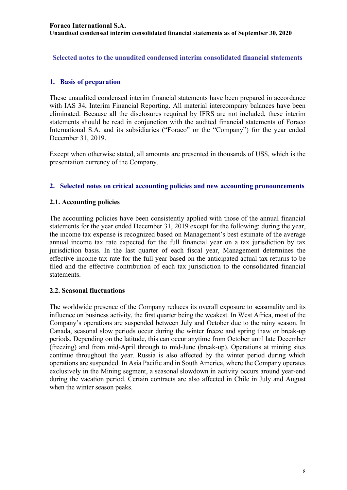**Selected notes to the unaudited condensed interim consolidated financial statements** 

## **1. Basis of preparation**

These unaudited condensed interim financial statements have been prepared in accordance with IAS 34, Interim Financial Reporting. All material intercompany balances have been eliminated. Because all the disclosures required by IFRS are not included, these interim statements should be read in conjunction with the audited financial statements of Foraco International S.A. and its subsidiaries ("Foraco" or the "Company") for the year ended December 31, 2019.

Except when otherwise stated, all amounts are presented in thousands of US\$, which is the presentation currency of the Company.

## **2. Selected notes on critical accounting policies and new accounting pronouncements**

## **2.1. Accounting policies**

The accounting policies have been consistently applied with those of the annual financial statements for the year ended December 31, 2019 except for the following: during the year, the income tax expense is recognized based on Management's best estimate of the average annual income tax rate expected for the full financial year on a tax jurisdiction by tax jurisdiction basis. In the last quarter of each fiscal year, Management determines the effective income tax rate for the full year based on the anticipated actual tax returns to be filed and the effective contribution of each tax jurisdiction to the consolidated financial statements.

## **2.2. Seasonal fluctuations**

The worldwide presence of the Company reduces its overall exposure to seasonality and its influence on business activity, the first quarter being the weakest. In West Africa, most of the Company's operations are suspended between July and October due to the rainy season. In Canada, seasonal slow periods occur during the winter freeze and spring thaw or break-up periods. Depending on the latitude, this can occur anytime from October until late December (freezing) and from mid-April through to mid-June (break-up). Operations at mining sites continue throughout the year. Russia is also affected by the winter period during which operations are suspended. In Asia Pacific and in South America, where the Company operates exclusively in the Mining segment, a seasonal slowdown in activity occurs around year-end during the vacation period. Certain contracts are also affected in Chile in July and August when the winter season peaks.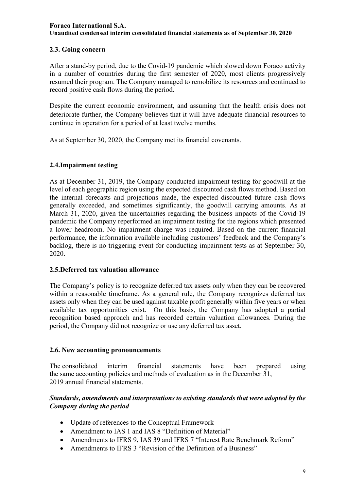## **2.3. Going concern**

After a stand-by period, due to the Covid-19 pandemic which slowed down Foraco activity in a number of countries during the first semester of 2020, most clients progressively resumed their program. The Company managed to remobilize its resources and continued to record positive cash flows during the period.

Despite the current economic environment, and assuming that the health crisis does not deteriorate further, the Company believes that it will have adequate financial resources to continue in operation for a period of at least twelve months.

As at September 30, 2020, the Company met its financial covenants.

## **2.4.Impairment testing**

As at December 31, 2019, the Company conducted impairment testing for goodwill at the level of each geographic region using the expected discounted cash flows method. Based on the internal forecasts and projections made, the expected discounted future cash flows generally exceeded, and sometimes significantly, the goodwill carrying amounts. As at March 31, 2020, given the uncertainties regarding the business impacts of the Covid-19 pandemic the Company reperformed an impairment testing for the regions which presented a lower headroom. No impairment charge was required. Based on the current financial performance, the information available including customers' feedback and the Company's backlog, there is no triggering event for conducting impairment tests as at September 30, 2020.

## **2.5.Deferred tax valuation allowance**

The Company's policy is to recognize deferred tax assets only when they can be recovered within a reasonable timeframe. As a general rule, the Company recognizes deferred tax assets only when they can be used against taxable profit generally within five years or when available tax opportunities exist. On this basis, the Company has adopted a partial recognition based approach and has recorded certain valuation allowances. During the period, the Company did not recognize or use any deferred tax asset.

## **2.6. New accounting pronouncements**

The consolidated interim financial statements have been prepared using the same accounting policies and methods of evaluation as in the December 31, 2019 annual financial statements.

## *Standards, amendments and interpretations to existing standards that were adopted by the Company during the period*

- Update of references to the Conceptual Framework
- Amendment to IAS 1 and IAS 8 "Definition of Material"
- Amendments to IFRS 9, IAS 39 and IFRS 7 "Interest Rate Benchmark Reform"
- Amendments to IFRS 3 "Revision of the Definition of a Business"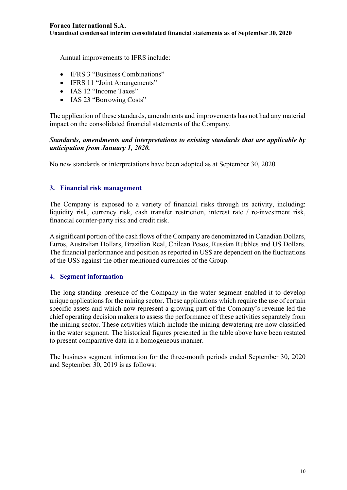**Unaudited condensed interim consolidated financial statements as of September 30, 2020** 

Annual improvements to IFRS include:

- IFRS 3 "Business Combinations"
- IFRS 11 "Joint Arrangements"
- IAS 12 "Income Taxes"
- **IAS 23 "Borrowing Costs"**

The application of these standards, amendments and improvements has not had any material impact on the consolidated financial statements of the Company.

#### *Standards, amendments and interpretations to existing standards that are applicable by anticipation from January 1, 2020.*

No new standards or interpretations have been adopted as at September 30, 2020*.* 

#### **3. Financial risk management**

The Company is exposed to a variety of financial risks through its activity, including: liquidity risk, currency risk, cash transfer restriction, interest rate / re-investment risk, financial counter-party risk and credit risk.

A significant portion of the cash flows of the Company are denominated in Canadian Dollars, Euros, Australian Dollars, Brazilian Real, Chilean Pesos, Russian Rubbles and US Dollars. The financial performance and position as reported in US\$ are dependent on the fluctuations of the US\$ against the other mentioned currencies of the Group.

#### **4. Segment information**

The long-standing presence of the Company in the water segment enabled it to develop unique applications for the mining sector. These applications which require the use of certain specific assets and which now represent a growing part of the Company's revenue led the chief operating decision makers to assess the performance of these activities separately from the mining sector. These activities which include the mining dewatering are now classified in the water segment. The historical figures presented in the table above have been restated to present comparative data in a homogeneous manner.

The business segment information for the three-month periods ended September 30, 2020 and September 30, 2019 is as follows: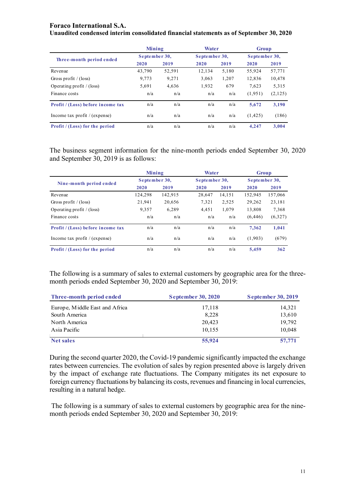#### **Foraco International S.A.**

|  |  | Unaudited condensed interim consolidated financial statements as of September 30, 2020 |  |
|--|--|----------------------------------------------------------------------------------------|--|
|--|--|----------------------------------------------------------------------------------------|--|

|                                   | Mining        |        | Water         |       | Group         |         |
|-----------------------------------|---------------|--------|---------------|-------|---------------|---------|
| Three-month period ended          | September 30, |        | September 30, |       | September 30, |         |
|                                   | 2020          | 2019   | 2020          | 2019  | 2020          | 2019    |
| Revenue                           | 43,790        | 52,591 | 12.134        | 5,180 | 55,924        | 57,771  |
| Gross profit / (loss)             | 9,773         | 9,271  | 3,063         | 1,207 | 12,836        | 10,478  |
| Operating profit $/(loss)$        | 5,691         | 4,636  | 1,932         | 679   | 7,623         | 5,315   |
| Finance costs                     | n/a           | n/a    | n/a           | n/a   | (1,951)       | (2,125) |
| Profit / (Loss) before income tax | n/a           | n/a    | n/a           | n/a   | 5.672         | 3,190   |
| Income tax profit $/$ (expense)   | n/a           | n/a    | n/a           | n/a   | (1, 425)      | (186)   |
| Profit / (Loss) for the period    | n/a           | n/a    | n/a           | n/a   | 4.247         | 3.004   |

The business segment information for the nine-month periods ended September 30, 2020 and September 30, 2019 is as follows:

|                                   | Mining        |         | Water         |        | <b>Group</b>  |         |
|-----------------------------------|---------------|---------|---------------|--------|---------------|---------|
| Nine-month period ended           | September 30, |         | September 30, |        | September 30, |         |
|                                   | 2020          | 2019    | 2020          | 2019   | 2020          | 2019    |
| Revenue                           | 124,298       | 142.915 | 28,647        | 14,151 | 152,945       | 157,066 |
| Gross profit / $(\text{loss})$    | 21,941        | 20,656  | 7,321         | 2,525  | 29,262        | 23,181  |
| Operating profit $/$ (loss)       | 9.357         | 6.289   | 4.451         | 1.079  | 13,808        | 7,368   |
| Finance costs                     | n/a           | n/a     | n/a           | n/a    | (6, 446)      | (6,327) |
| Profit / (Loss) before income tax | n/a           | n/a     | n/a           | n/a    | 7.362         | 1.041   |
| Income tax profit $/(expense)$    | n/a           | n/a     | n/a           | n/a    | (1,903)       | (679)   |
| Profit / (Loss) for the period    | n/a           | n/a     | n/a           | n/a    | 5.459         | 362     |

The following is a summary of sales to external customers by geographic area for the threemonth periods ended September 30, 2020 and September 30, 2019:

| Three-month period ended       | <b>September 30, 2020</b> | <b>September 30, 2019</b> |
|--------------------------------|---------------------------|---------------------------|
| Europe, Middle East and Africa | 17,118                    | 14,321                    |
| South America                  | 8,228                     | 13,610                    |
| North America                  | 20,423                    | 19,792                    |
| Asia Pacific                   | 10,155                    | 10,048                    |
| <b>Net sales</b>               | 55,924                    | 57,771                    |

During the second quarter 2020, the Covid-19 pandemic significantly impacted the exchange rates between currencies. The evolution of sales by region presented above is largely driven by the impact of exchange rate fluctuations. The Company mitigates its net exposure to foreign currency fluctuations by balancing its costs, revenues and financing in local currencies, resulting in a natural hedge.

 The following is a summary of sales to external customers by geographic area for the ninemonth periods ended September 30, 2020 and September 30, 2019: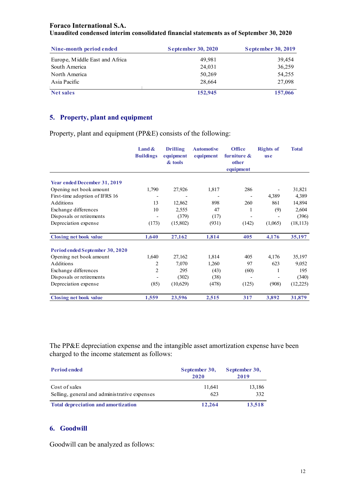| Nine-month period ended        | <b>September 30, 2020</b> | <b>September 30, 2019</b> |
|--------------------------------|---------------------------|---------------------------|
| Europe, Middle East and Africa | 49.981                    | 39,454                    |
| South America                  | 24,031                    | 36,259                    |
| North America                  | 50,269                    | 54,255                    |
| Asia Pacific                   | 28,664                    | 27,098                    |
| <b>Net sales</b>               | 152,945                   | 157,066                   |

## **5. Property, plant and equipment**

Property, plant and equipment (PP&E) consists of the following:

|                                     | Land $\&$<br><b>Buildings</b> | <b>Drilling</b><br>equipment<br>& tools | <b>Automotive</b><br>equipment | <b>Office</b><br>furniture $\&$<br>other<br>equipment | <b>Rights of</b><br><b>use</b> | <b>Total</b> |
|-------------------------------------|-------------------------------|-----------------------------------------|--------------------------------|-------------------------------------------------------|--------------------------------|--------------|
|                                     |                               |                                         |                                |                                                       |                                |              |
| <b>Year ended December 31, 2019</b> |                               |                                         |                                |                                                       |                                |              |
| Opening net book amount             | 1,790                         | 27,926                                  | 1,817                          | 286                                                   |                                | 31,821       |
| First-time adoption of IFRS 16      |                               |                                         |                                |                                                       | 4,389                          | 4,389        |
| Additions                           | 13                            | 12,862                                  | 898                            | 260                                                   | 861                            | 14,894       |
| Exchange differences                | 10                            | 2,555                                   | 47                             | 1                                                     | (9)                            | 2,604        |
| Disposals or retirements            |                               | (379)                                   | (17)                           |                                                       |                                | (396)        |
| Depreciation expense                | (173)                         | (15,802)                                | (931)                          | (142)                                                 | (1,065)                        | (18, 113)    |
| <b>Closing net book value</b>       | 1,640                         | 27,162                                  | 1,814                          | 405                                                   | 4,176                          | 35,197       |
| Period ended September 30, 2020     |                               |                                         |                                |                                                       |                                |              |
| Opening net book amount             | 1,640                         | 27,162                                  | 1,814                          | 405                                                   | 4,176                          | 35,197       |
| Additions                           | 2                             | 7,070                                   | 1,260                          | 97                                                    | 623                            | 9,052        |
| Exchange differences                | 2                             | 295                                     | (43)                           | (60)                                                  | 1                              | 195          |
| Disposals or retirements            |                               | (302)                                   | (38)                           |                                                       |                                | (340)        |
| Depreciation expense                | (85)                          | (10,629)                                | (478)                          | (125)                                                 | (908)                          | (12,225)     |
| <b>Closing net book value</b>       | 1,559                         | 23,596                                  | 2,515                          | 317                                                   | 3,892                          | 31,879       |

The PP&E depreciation expense and the intangible asset amortization expense have been charged to the income statement as follows:

| <b>Period ended</b>                                           | September 30,<br>2020 | September 30,<br>2019 |  |
|---------------------------------------------------------------|-----------------------|-----------------------|--|
| Cost of sales<br>Selling, general and administrative expenses | 11.641<br>623         | 13,186<br>332         |  |
| <b>Total depreciation and amortization</b>                    | 12,264                | 13,518                |  |

## **6. Goodwill**

Goodwill can be analyzed as follows: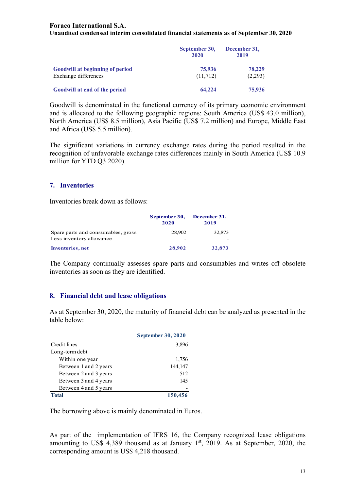#### **Foraco International S.A.**

#### **Unaudited condensed interim consolidated financial statements as of September 30, 2020**

|                                                                | September 30,<br>2020 | December 31,<br>2019 |  |
|----------------------------------------------------------------|-----------------------|----------------------|--|
| <b>Goodwill at beginning of period</b><br>Exchange differences | 75,936<br>(11,712)    | 78,229<br>(2,293)    |  |
| Goodwill at end of the period                                  | 64,224                | 75,936               |  |

Goodwill is denominated in the functional currency of its primary economic environment and is allocated to the following geographic regions: South America (US\$ 43.0 million), North America (US\$ 8.5 million), Asia Pacific (US\$ 7.2 million) and Europe, Middle East and Africa (US\$ 5.5 million).

The significant variations in currency exchange rates during the period resulted in the recognition of unfavorable exchange rates differences mainly in South America (US\$ 10.9 million for YTD Q3 2020).

#### **7. Inventories**

Inventories break down as follows:

|                                                                | September 30,<br>2020 | December 31,<br>2019 |
|----------------------------------------------------------------|-----------------------|----------------------|
| Spare parts and consumables, gross<br>Less inventory allowance | 28,902                | 32,873               |
| <b>Inventories</b> , net                                       | 28,902                | 32,873               |

The Company continually assesses spare parts and consumables and writes off obsolete inventories as soon as they are identified.

#### **8. Financial debt and lease obligations**

As at September 30, 2020, the maturity of financial debt can be analyzed as presented in the table below:

|                       | <b>September 30, 2020</b> |
|-----------------------|---------------------------|
| Credit lines          | 3,896                     |
| Long-term debt        |                           |
| Within one year       | 1,756                     |
| Between 1 and 2 years | 144,147                   |
| Between 2 and 3 years | 512                       |
| Between 3 and 4 years | 145                       |
| Between 4 and 5 years |                           |
| Total                 | 150,456                   |

The borrowing above is mainly denominated in Euros.

As part of the implementation of IFRS 16, the Company recognized lease obligations amounting to US\$ 4,389 thousand as at January  $1<sup>st</sup>$ , 2019. As at September, 2020, the corresponding amount is US\$ 4,218 thousand.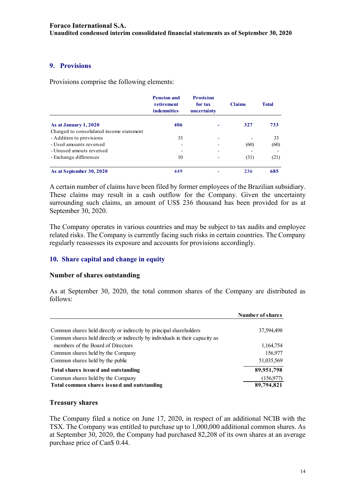## **9. Provisions**

Provisions comprise the following elements:

|                                          | <b>Pension and</b><br>retirement<br><b>indemnities</b> | <b>Provision</b><br>for tax<br>uncertainty | <b>Claims</b> | <b>Total</b> |
|------------------------------------------|--------------------------------------------------------|--------------------------------------------|---------------|--------------|
| As at January 1, 2020                    | 406                                                    |                                            | 327           | 733          |
| Charged to consolidated income statement |                                                        |                                            |               |              |
| - Addition to provisions                 | 33                                                     |                                            |               | 33           |
| - Used amounts reversed                  | $\qquad \qquad$                                        |                                            | (60)          | (60)         |
| - Unused amouts reversed                 |                                                        | $\overline{\phantom{0}}$                   |               |              |
| - Exchange differences                   | 10                                                     |                                            | (31)          | (21)         |
| As at September 30, 2020                 | 449                                                    |                                            | 236           | 685          |

A certain number of claims have been filed by former employees of the Brazilian subsidiary. These claims may result in a cash outflow for the Company. Given the uncertainty surrounding such claims, an amount of US\$ 236 thousand has been provided for as at September 30, 2020.

The Company operates in various countries and may be subject to tax audits and employee related risks. The Company is currently facing such risks in certain countries. The Company regularly reassesses its exposure and accounts for provisions accordingly.

## **10. Share capital and change in equity**

#### **Number of shares outstanding**

As at September 30, 2020, the total common shares of the Company are distributed as follows:

|                                                                               | Number of shares |
|-------------------------------------------------------------------------------|------------------|
| Common shares held directly or indirectly by principal shareholders           | 37,594,498       |
| Common shares held directly or indirectly by individuals in their capacity as |                  |
| members of the Board of Directors                                             | 1,164,754        |
| Common shares held by the Company                                             | 156,977          |
| Common shares held by the public                                              | 51,035,569       |
| Total shares issued and outstanding                                           | 89,951,798       |
| Common shares held by the Company                                             | (156, 977)       |
| Total common shares issued and outstanding                                    | 89,794,821       |

## **Treasury shares**

The Company filed a notice on June 17, 2020, in respect of an additional NCIB with the TSX. The Company was entitled to purchase up to 1,000,000 additional common shares. As at September 30, 2020, the Company had purchased 82,208 of its own shares at an average purchase price of Can\$ 0.44.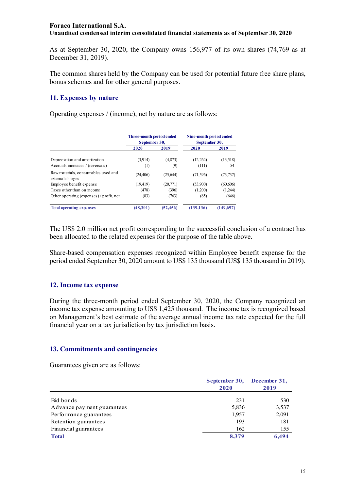As at September 30, 2020, the Company owns 156,977 of its own shares (74,769 as at December 31, 2019).

The common shares held by the Company can be used for potential future free share plans, bonus schemes and for other general purposes.

## **11. Expenses by nature**

Operating expenses / (income), net by nature are as follows:

|                                                         | Three-month period ended<br>September 30, |           | Nine-month period ended<br>September 30, |           |
|---------------------------------------------------------|-------------------------------------------|-----------|------------------------------------------|-----------|
|                                                         | 2020                                      | 2019      | 2020                                     | 2019      |
| Depreciation and amortization                           | (3,914)                                   | (4,873)   | (12,264)                                 | (13,518)  |
| Accruals increases / (reversals)                        | (1)                                       | (9)       | (111)                                    | 54        |
| Raw materials, consumables used and<br>external charges | (24, 406)                                 | (25, 644) | (71, 596)                                | (73, 737) |
| Employee benefit expense                                | (19, 419)                                 | (20,771)  | (53,900)                                 | (60, 606) |
| Taxes other than on income                              | (478)                                     | (396)     | (1,200)                                  | (1,244)   |
| Other operating (expenses) / profit, net                | (83)                                      | (763)     | (65)                                     | (646)     |
| <b>Total operating expenses</b>                         | (48,301)                                  | (52, 456) | (139, 136)                               | (149,697) |

The US\$ 2.0 million net profit corresponding to the successful conclusion of a contract has been allocated to the related expenses for the purpose of the table above.

Share-based compensation expenses recognized within Employee benefit expense for the period ended September 30, 2020 amount to US\$ 135 thousand (US\$ 135 thousand in 2019).

## **12. Income tax expense**

During the three-month period ended September 30, 2020, the Company recognized an income tax expense amounting to US\$ 1,425 thousand. The income tax is recognized based on Management's best estimate of the average annual income tax rate expected for the full financial year on a tax jurisdiction by tax jurisdiction basis.

## **13. Commitments and contingencies**

Guarantees given are as follows:

|                            | September 30,<br>2020 | December 31,<br>2019 |
|----------------------------|-----------------------|----------------------|
| Bid bonds                  | 231                   | 530                  |
| Advance payment guarantees | 5,836                 | 3,537                |
| Performance guarantees     | 1,957                 | 2,091                |
| Retention guarantees       | 193                   | 181                  |
| Financial guarantees       | 162                   | 155                  |
| <b>Total</b>               | 8,379                 | 6.494                |